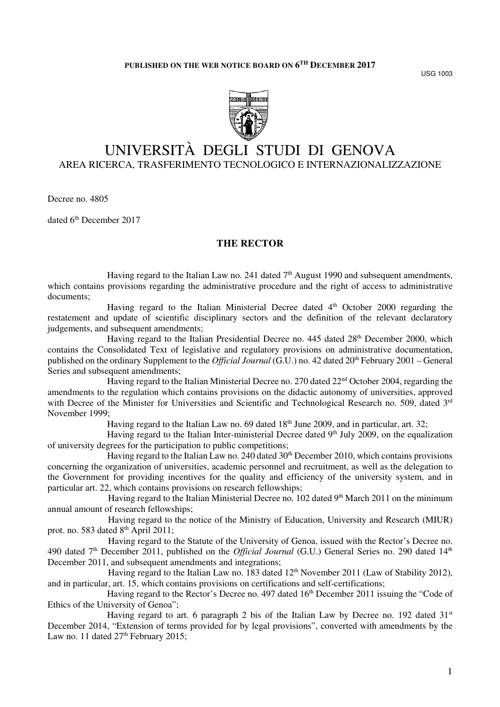USG 1003



# UNIVERSITÀ DEGLI STUDI DI GENOVA AREA RICERCA, TRASFERIMENTO TECNOLOGICO E INTERNAZIONALIZZAZIONE

Decree no. 4805

dated 6<sup>th</sup> December 2017

# **THE RECTOR**

Having regard to the Italian Law no. 241 dated  $7<sup>th</sup>$  August 1990 and subsequent amendments, which contains provisions regarding the administrative procedure and the right of access to administrative documents;

Having regard to the Italian Ministerial Decree dated 4<sup>th</sup> October 2000 regarding the restatement and update of scientific disciplinary sectors and the definition of the relevant declaratory judgements, and subsequent amendments;

Having regard to the Italian Presidential Decree no.  $445$  dated  $28<sup>th</sup>$  December 2000, which contains the Consolidated Text of legislative and regulatory provisions on administrative documentation, published on the ordinary Supplement to the *Official Journal* (G.U.) no. 42 dated 20th February 2001 – General Series and subsequent amendments;

Having regard to the Italian Ministerial Decree no. 270 dated 22<sup>nd</sup> October 2004, regarding the amendments to the regulation which contains provisions on the didactic autonomy of universities, approved with Decree of the Minister for Universities and Scientific and Technological Research no. 509, dated 3rd November 1999;

Having regard to the Italian Law no. 69 dated  $18<sup>th</sup>$  June 2009, and in particular, art. 32;

Having regard to the Italian Inter-ministerial Decree dated 9<sup>th</sup> July 2009, on the equalization of university degrees for the participation to public competitions;

Having regard to the Italian Law no. 240 dated  $30<sup>th</sup>$  December 2010, which contains provisions concerning the organization of universities, academic personnel and recruitment, as well as the delegation to the Government for providing incentives for the quality and efficiency of the university system, and in particular art. 22, which contains provisions on research fellowships;

Having regard to the Italian Ministerial Decree no. 102 dated 9<sup>th</sup> March 2011 on the minimum annual amount of research fellowships;

Having regard to the notice of the Ministry of Education, University and Research (MIUR) prot. no. 583 dated 8<sup>th</sup> April 2011;

Having regard to the Statute of the University of Genoa, issued with the Rector's Decree no. 490 dated 7<sup>th</sup> December 2011, published on the *Official Journal* (G.U.) General Series no. 290 dated 14<sup>th</sup> December 2011, and subsequent amendments and integrations;

Having regard to the Italian Law no. 183 dated  $12<sup>th</sup>$  November 2011 (Law of Stability 2012), and in particular, art. 15, which contains provisions on certifications and self-certifications;

Having regard to the Rector's Decree no. 497 dated  $16<sup>th</sup>$  December 2011 issuing the "Code of Ethics of the University of Genoa";

Having regard to art. 6 paragraph 2 bis of the Italian Law by Decree no. 192 dated  $31<sup>st</sup>$ December 2014, "Extension of terms provided for by legal provisions", converted with amendments by the Law no. 11 dated  $27<sup>th</sup>$  February 2015;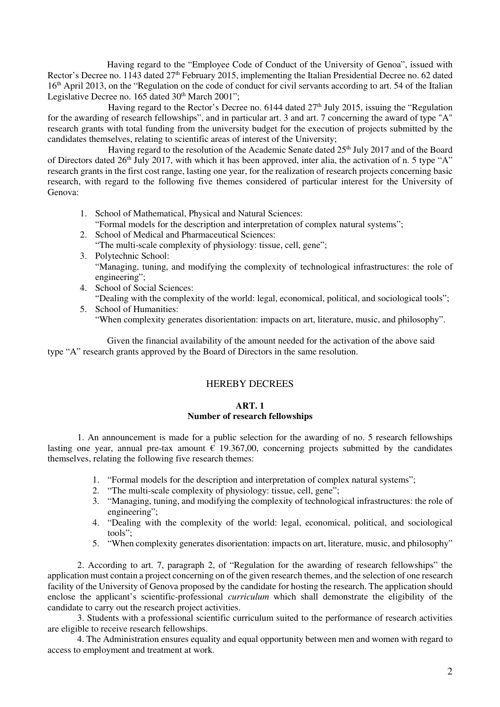Having regard to the "Employee Code of Conduct of the University of Genoa", issued with Rector's Decree no. 1143 dated 27<sup>th</sup> February 2015, implementing the Italian Presidential Decree no. 62 dated 16<sup>th</sup> April 2013, on the "Regulation on the code of conduct for civil servants according to art. 54 of the Italian Legislative Decree no. 165 dated 30<sup>th</sup> March 2001";

Having regard to the Rector's Decree no.  $6144$  dated  $27<sup>th</sup>$  July 2015, issuing the "Regulation" for the awarding of research fellowships", and in particular art. 3 and art. 7 concerning the award of type "A" research grants with total funding from the university budget for the execution of projects submitted by the candidates themselves, relating to scientific areas of interest of the University;

Having regard to the resolution of the Academic Senate dated 25<sup>th</sup> July 2017 and of the Board of Directors dated 26<sup>th</sup> July 2017, with which it has been approved, inter alia, the activation of n. 5 type "A" research grants in the first cost range, lasting one year, for the realization of research projects concerning basic research, with regard to the following five themes considered of particular interest for the University of Genova:

- 1. School of Mathematical, Physical and Natural Sciences: "Formal models for the description and interpretation of complex natural systems";
- 2. School of Medical and Pharmaceutical Sciences: "The multi-scale complexity of physiology: tissue, cell, gene";
- 3. Polytechnic School: "Managing, tuning, and modifying the complexity of technological infrastructures: the role of engineering";
- 4. School of Social Sciences: "Dealing with the complexity of the world: legal, economical, political, and sociological tools";
- 5. School of Humanities: "When complexity generates disorientation: impacts on art, literature, music, and philosophy".

Given the financial availability of the amount needed for the activation of the above said type "A" research grants approved by the Board of Directors in the same resolution.

# HEREBY DECREES

# **ART. 1**

# **Number of research fellowships**

1. An announcement is made for a public selection for the awarding of no. 5 research fellowships lasting one year, annual pre-tax amount  $\epsilon$  19.367,00, concerning projects submitted by the candidates themselves, relating the following five research themes:

- 1. "Formal models for the description and interpretation of complex natural systems";
- 2. "The multi-scale complexity of physiology: tissue, cell, gene";
- 3. "Managing, tuning, and modifying the complexity of technological infrastructures: the role of engineering";
- 4. "Dealing with the complexity of the world: legal, economical, political, and sociological tools";
- 5. "When complexity generates disorientation: impacts on art, literature, music, and philosophy"

2. According to art. 7, paragraph 2, of "Regulation for the awarding of research fellowships" the application must contain a project concerning on of the given research themes, and the selection of one research facility of the University of Genova proposed by the candidate for hosting the research. The application should enclose the applicant's scientific-professional *curriculum* which shall demonstrate the eligibility of the candidate to carry out the research project activities.

3. Students with a professional scientific curriculum suited to the performance of research activities are eligible to receive research fellowships.

4. The Administration ensures equality and equal opportunity between men and women with regard to access to employment and treatment at work.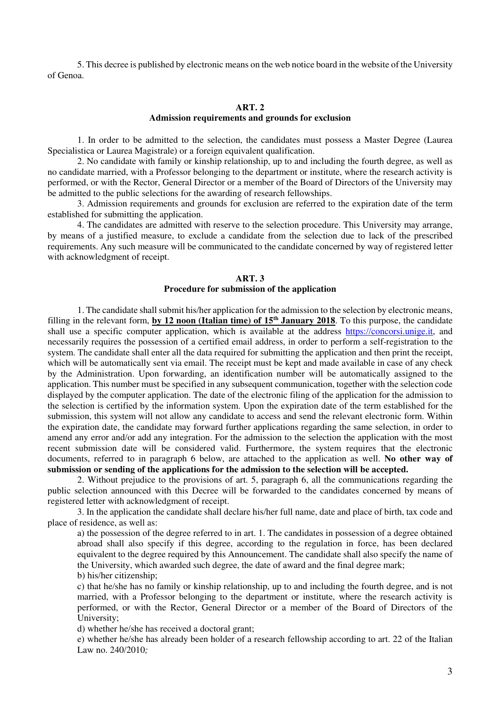5. This decree is published by electronic means on the web notice board in the website of the University of Genoa.

#### **ART. 2 Admission requirements and grounds for exclusion**

 1. In order to be admitted to the selection, the candidates must possess a Master Degree (Laurea Specialistica or Laurea Magistrale) or a foreign equivalent qualification.

 2. No candidate with family or kinship relationship, up to and including the fourth degree, as well as no candidate married, with a Professor belonging to the department or institute, where the research activity is performed, or with the Rector, General Director or a member of the Board of Directors of the University may be admitted to the public selections for the awarding of research fellowships.

 3. Admission requirements and grounds for exclusion are referred to the expiration date of the term established for submitting the application.

 4. The candidates are admitted with reserve to the selection procedure. This University may arrange, by means of a justified measure, to exclude a candidate from the selection due to lack of the prescribed requirements. Any such measure will be communicated to the candidate concerned by way of registered letter with acknowledgment of receipt.

## **ART. 3 Procedure for submission of the application**

 1. The candidate shall submit his/her application for the admission to the selection by electronic means, filling in the relevant form, **by 12 noon (Italian time) of 15th January 2018**. To this purpose, the candidate shall use a specific computer application, which is available at the address https://concorsi.unige.it, and necessarily requires the possession of a certified email address, in order to perform a self-registration to the system. The candidate shall enter all the data required for submitting the application and then print the receipt, which will be automatically sent via email. The receipt must be kept and made available in case of any check by the Administration. Upon forwarding, an identification number will be automatically assigned to the application. This number must be specified in any subsequent communication, together with the selection code displayed by the computer application. The date of the electronic filing of the application for the admission to the selection is certified by the information system. Upon the expiration date of the term established for the submission, this system will not allow any candidate to access and send the relevant electronic form. Within the expiration date, the candidate may forward further applications regarding the same selection, in order to amend any error and/or add any integration. For the admission to the selection the application with the most recent submission date will be considered valid. Furthermore, the system requires that the electronic documents, referred to in paragraph 6 below, are attached to the application as well. **No other way of submission or sending of the applications for the admission to the selection will be accepted.** 

 2. Without prejudice to the provisions of art. 5, paragraph 6, all the communications regarding the public selection announced with this Decree will be forwarded to the candidates concerned by means of registered letter with acknowledgment of receipt.

 3. In the application the candidate shall declare his/her full name, date and place of birth, tax code and place of residence, as well as:

a) the possession of the degree referred to in art. 1. The candidates in possession of a degree obtained abroad shall also specify if this degree, according to the regulation in force, has been declared equivalent to the degree required by this Announcement. The candidate shall also specify the name of the University, which awarded such degree, the date of award and the final degree mark; b) his/her citizenship;

c) that he/she has no family or kinship relationship, up to and including the fourth degree, and is not married, with a Professor belonging to the department or institute, where the research activity is performed, or with the Rector, General Director or a member of the Board of Directors of the University;

d) whether he/she has received a doctoral grant;

e) whether he/she has already been holder of a research fellowship according to art. 22 of the Italian Law no. 240/2010*;*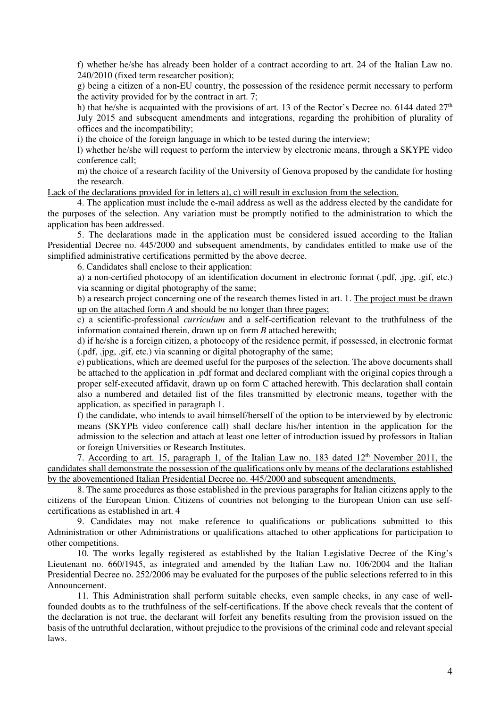f) whether he/she has already been holder of a contract according to art. 24 of the Italian Law no. 240/2010 (fixed term researcher position);

g) being a citizen of a non-EU country, the possession of the residence permit necessary to perform the activity provided for by the contract in art. 7;

h) that he/she is acquainted with the provisions of art. 13 of the Rector's Decree no. 6144 dated  $27<sup>th</sup>$ July 2015 and subsequent amendments and integrations, regarding the prohibition of plurality of offices and the incompatibility;

i) the choice of the foreign language in which to be tested during the interview;

l) whether he/she will request to perform the interview by electronic means, through a SKYPE video conference call;

m) the choice of a research facility of the University of Genova proposed by the candidate for hosting the research.

Lack of the declarations provided for in letters a), c) will result in exclusion from the selection.

4. The application must include the e-mail address as well as the address elected by the candidate for the purposes of the selection. Any variation must be promptly notified to the administration to which the application has been addressed.

5. The declarations made in the application must be considered issued according to the Italian Presidential Decree no. 445/2000 and subsequent amendments, by candidates entitled to make use of the simplified administrative certifications permitted by the above decree.

6. Candidates shall enclose to their application:

a) a non-certified photocopy of an identification document in electronic format (.pdf, .jpg, .gif, etc.) via scanning or digital photography of the same;

b) a research project concerning one of the research themes listed in art. 1. The project must be drawn up on the attached form *A* and should be no longer than three pages;

c) a scientific-professional *curriculum* and a self-certification relevant to the truthfulness of the information contained therein, drawn up on form *B* attached herewith;

d) if he/she is a foreign citizen, a photocopy of the residence permit, if possessed, in electronic format (.pdf, .jpg, .gif, etc.) via scanning or digital photography of the same;

e) publications, which are deemed useful for the purposes of the selection. The above documents shall be attached to the application in .pdf format and declared compliant with the original copies through a proper self-executed affidavit, drawn up on form C attached herewith. This declaration shall contain also a numbered and detailed list of the files transmitted by electronic means, together with the application, as specified in paragraph 1.

f) the candidate, who intends to avail himself/herself of the option to be interviewed by by electronic means (SKYPE video conference call) shall declare his/her intention in the application for the admission to the selection and attach at least one letter of introduction issued by professors in Italian or foreign Universities or Research Institutes.

7. According to art. 15, paragraph 1, of the Italian Law no. 183 dated  $12<sup>th</sup>$  November 2011, the candidates shall demonstrate the possession of the qualifications only by means of the declarations established by the abovementioned Italian Presidential Decree no. 445/2000 and subsequent amendments.

 8. The same procedures as those established in the previous paragraphs for Italian citizens apply to the citizens of the European Union. Citizens of countries not belonging to the European Union can use selfcertifications as established in art. 4

 9. Candidates may not make reference to qualifications or publications submitted to this Administration or other Administrations or qualifications attached to other applications for participation to other competitions.

 10. The works legally registered as established by the Italian Legislative Decree of the King's Lieutenant no. 660/1945, as integrated and amended by the Italian Law no. 106/2004 and the Italian Presidential Decree no. 252/2006 may be evaluated for the purposes of the public selections referred to in this Announcement.

11. This Administration shall perform suitable checks, even sample checks, in any case of wellfounded doubts as to the truthfulness of the self-certifications. If the above check reveals that the content of the declaration is not true, the declarant will forfeit any benefits resulting from the provision issued on the basis of the untruthful declaration, without prejudice to the provisions of the criminal code and relevant special laws.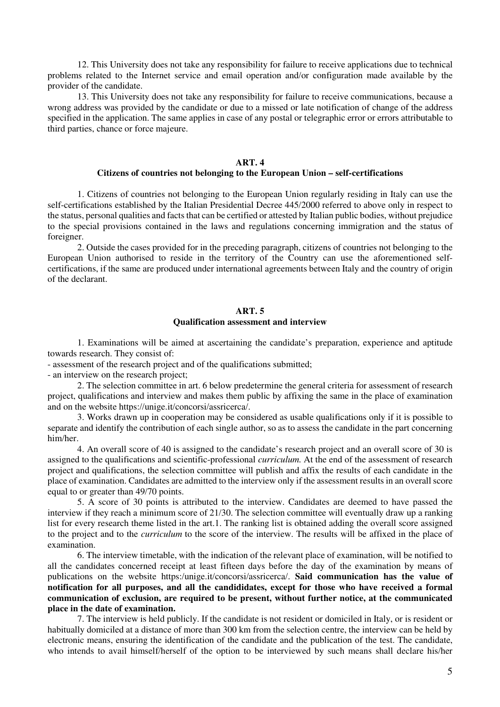12. This University does not take any responsibility for failure to receive applications due to technical problems related to the Internet service and email operation and/or configuration made available by the provider of the candidate.

 13. This University does not take any responsibility for failure to receive communications, because a wrong address was provided by the candidate or due to a missed or late notification of change of the address specified in the application. The same applies in case of any postal or telegraphic error or errors attributable to third parties, chance or force majeure.

#### **ART. 4**

## **Citizens of countries not belonging to the European Union – self-certifications**

1. Citizens of countries not belonging to the European Union regularly residing in Italy can use the self-certifications established by the Italian Presidential Decree 445/2000 referred to above only in respect to the status, personal qualities and facts that can be certified or attested by Italian public bodies, without prejudice to the special provisions contained in the laws and regulations concerning immigration and the status of foreigner.

2. Outside the cases provided for in the preceding paragraph, citizens of countries not belonging to the European Union authorised to reside in the territory of the Country can use the aforementioned selfcertifications, if the same are produced under international agreements between Italy and the country of origin of the declarant.

#### **ART. 5 Qualification assessment and interview**

 1. Examinations will be aimed at ascertaining the candidate's preparation, experience and aptitude towards research. They consist of:

- assessment of the research project and of the qualifications submitted;

- an interview on the research project;

 2. The selection committee in art. 6 below predetermine the general criteria for assessment of research project, qualifications and interview and makes them public by affixing the same in the place of examination and on the website https://unige.it/concorsi/assricerca/.

 3. Works drawn up in cooperation may be considered as usable qualifications only if it is possible to separate and identify the contribution of each single author, so as to assess the candidate in the part concerning him/her.

 4. An overall score of 40 is assigned to the candidate's research project and an overall score of 30 is assigned to the qualifications and scientific-professional *curriculum.* At the end of the assessment of research project and qualifications, the selection committee will publish and affix the results of each candidate in the place of examination. Candidates are admitted to the interview only if the assessment results in an overall score equal to or greater than 49/70 points.

5. A score of 30 points is attributed to the interview. Candidates are deemed to have passed the interview if they reach a minimum score of 21/30. The selection committee will eventually draw up a ranking list for every research theme listed in the art.1. The ranking list is obtained adding the overall score assigned to the project and to the *curriculum* to the score of the interview. The results will be affixed in the place of examination.

 6. The interview timetable, with the indication of the relevant place of examination, will be notified to all the candidates concerned receipt at least fifteen days before the day of the examination by means of publications on the website https:/unige.it/concorsi/assricerca/. **Said communication has the value of notification for all purposes, and all the candididates, except for those who have received a formal communication of exclusion, are required to be present, without further notice, at the communicated place in the date of examination.** 

 7. The interview is held publicly. If the candidate is not resident or domiciled in Italy, or is resident or habitually domiciled at a distance of more than 300 km from the selection centre, the interview can be held by electronic means, ensuring the identification of the candidate and the publication of the test. The candidate, who intends to avail himself/herself of the option to be interviewed by such means shall declare his/her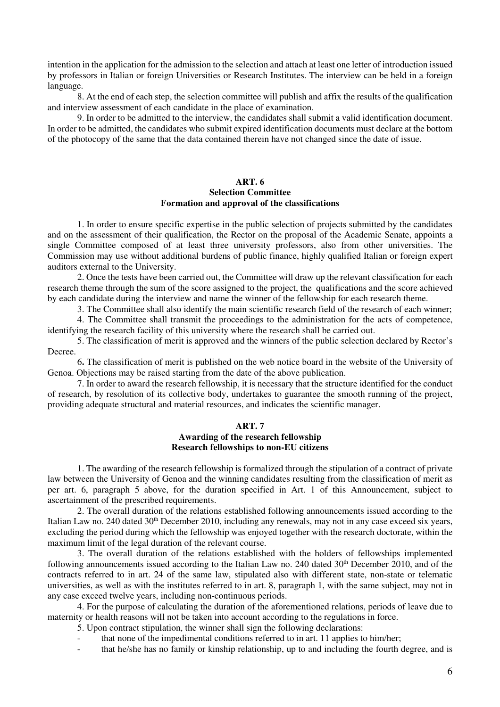intention in the application for the admission to the selection and attach at least one letter of introduction issued by professors in Italian or foreign Universities or Research Institutes. The interview can be held in a foreign language.

 8. At the end of each step, the selection committee will publish and affix the results of the qualification and interview assessment of each candidate in the place of examination.

 9. In order to be admitted to the interview, the candidates shall submit a valid identification document. In order to be admitted, the candidates who submit expired identification documents must declare at the bottom of the photocopy of the same that the data contained therein have not changed since the date of issue.

## **ART. 6 Selection Committee Formation and approval of the classifications**

 1. In order to ensure specific expertise in the public selection of projects submitted by the candidates and on the assessment of their qualification, the Rector on the proposal of the Academic Senate, appoints a single Committee composed of at least three university professors, also from other universities. The Commission may use without additional burdens of public finance, highly qualified Italian or foreign expert auditors external to the University.

 2. Once the tests have been carried out, the Committee will draw up the relevant classification for each research theme through the sum of the score assigned to the project, the qualifications and the score achieved by each candidate during the interview and name the winner of the fellowship for each research theme.

3. The Committee shall also identify the main scientific research field of the research of each winner;

 4. The Committee shall transmit the proceedings to the administration for the acts of competence, identifying the research facility of this university where the research shall be carried out.

 5. The classification of merit is approved and the winners of the public selection declared by Rector's Decree.

 6**.** The classification of merit is published on the web notice board in the website of the University of Genoa. Objections may be raised starting from the date of the above publication.

 7. In order to award the research fellowship, it is necessary that the structure identified for the conduct of research, by resolution of its collective body, undertakes to guarantee the smooth running of the project, providing adequate structural and material resources, and indicates the scientific manager.

#### **ART. 7 Awarding of the research fellowship Research fellowships to non-EU citizens**

 1. The awarding of the research fellowship is formalized through the stipulation of a contract of private law between the University of Genoa and the winning candidates resulting from the classification of merit as per art. 6, paragraph 5 above, for the duration specified in Art. 1 of this Announcement, subject to ascertainment of the prescribed requirements.

2. The overall duration of the relations established following announcements issued according to the Italian Law no. 240 dated 30<sup>th</sup> December 2010, including any renewals, may not in any case exceed six years, excluding the period during which the fellowship was enjoyed together with the research doctorate, within the maximum limit of the legal duration of the relevant course.

3. The overall duration of the relations established with the holders of fellowships implemented following announcements issued according to the Italian Law no. 240 dated 30<sup>th</sup> December 2010, and of the contracts referred to in art. 24 of the same law, stipulated also with different state, non-state or telematic universities, as well as with the institutes referred to in art. 8, paragraph 1, with the same subject, may not in any case exceed twelve years, including non-continuous periods.

4. For the purpose of calculating the duration of the aforementioned relations, periods of leave due to maternity or health reasons will not be taken into account according to the regulations in force.

5. Upon contract stipulation, the winner shall sign the following declarations:

- that none of the impedimental conditions referred to in art. 11 applies to him/her;
- that he/she has no family or kinship relationship, up to and including the fourth degree, and is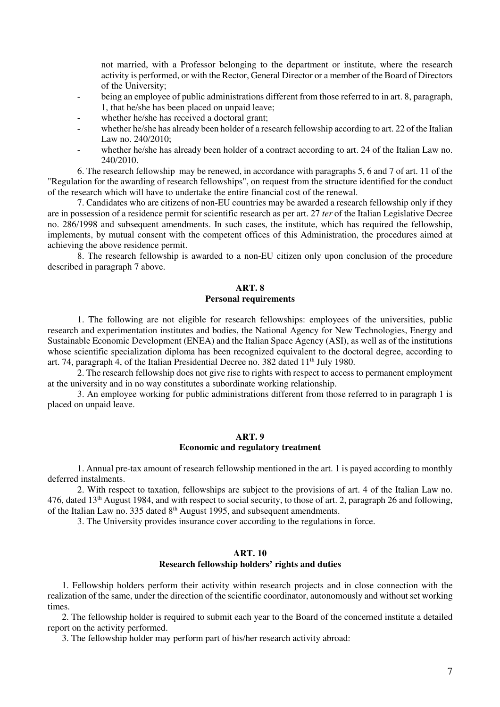not married, with a Professor belonging to the department or institute, where the research activity is performed, or with the Rector, General Director or a member of the Board of Directors of the University;

- being an employee of public administrations different from those referred to in art. 8, paragraph, 1, that he/she has been placed on unpaid leave;
- whether he/she has received a doctoral grant;
- whether he/she has already been holder of a research fellowship according to art. 22 of the Italian Law no. 240/2010;
- whether he/she has already been holder of a contract according to art. 24 of the Italian Law no. 240/2010.

 6. The research fellowship may be renewed, in accordance with paragraphs 5, 6 and 7 of art. 11 of the "Regulation for the awarding of research fellowships", on request from the structure identified for the conduct of the research which will have to undertake the entire financial cost of the renewal.

 7. Candidates who are citizens of non-EU countries may be awarded a research fellowship only if they are in possession of a residence permit for scientific research as per art. 27 *ter* of the Italian Legislative Decree no. 286/1998 and subsequent amendments. In such cases, the institute, which has required the fellowship, implements, by mutual consent with the competent offices of this Administration, the procedures aimed at achieving the above residence permit.

 8. The research fellowship is awarded to a non-EU citizen only upon conclusion of the procedure described in paragraph 7 above.

# **ART. 8 Personal requirements**

 1. The following are not eligible for research fellowships: employees of the universities, public research and experimentation institutes and bodies, the National Agency for New Technologies, Energy and Sustainable Economic Development (ENEA) and the Italian Space Agency (ASI), as well as of the institutions whose scientific specialization diploma has been recognized equivalent to the doctoral degree, according to art. 74, paragraph 4, of the Italian Presidential Decree no. 382 dated 11th July 1980.

 2. The research fellowship does not give rise to rights with respect to access to permanent employment at the university and in no way constitutes a subordinate working relationship.

 3. An employee working for public administrations different from those referred to in paragraph 1 is placed on unpaid leave.

#### **ART. 9 Economic and regulatory treatment**

 1. Annual pre-tax amount of research fellowship mentioned in the art. 1 is payed according to monthly deferred instalments.

 2. With respect to taxation, fellowships are subject to the provisions of art. 4 of the Italian Law no. 476, dated 13<sup>th</sup> August 1984, and with respect to social security, to those of art. 2, paragraph 26 and following, of the Italian Law no. 335 dated  $8<sup>th</sup>$  August 1995, and subsequent amendments.

3. The University provides insurance cover according to the regulations in force.

#### **ART. 10 Research fellowship holders' rights and duties**

1. Fellowship holders perform their activity within research projects and in close connection with the realization of the same, under the direction of the scientific coordinator, autonomously and without set working times.

2. The fellowship holder is required to submit each year to the Board of the concerned institute a detailed report on the activity performed.

3. The fellowship holder may perform part of his/her research activity abroad: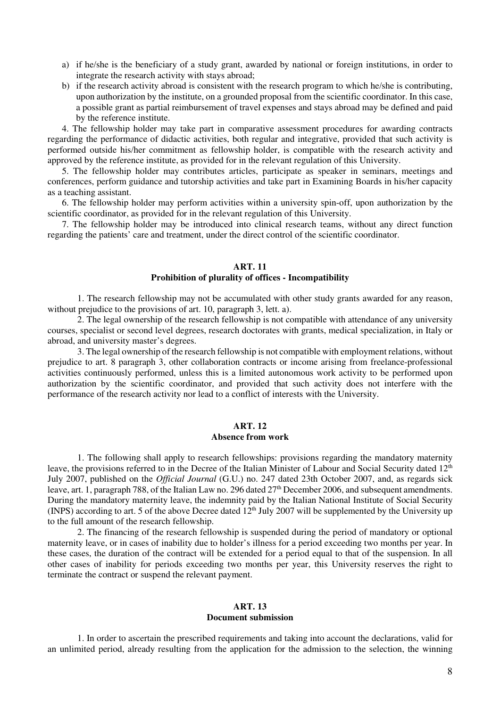- a) if he/she is the beneficiary of a study grant, awarded by national or foreign institutions, in order to integrate the research activity with stays abroad;
- b) if the research activity abroad is consistent with the research program to which he/she is contributing, upon authorization by the institute, on a grounded proposal from the scientific coordinator. In this case, a possible grant as partial reimbursement of travel expenses and stays abroad may be defined and paid by the reference institute.

4. The fellowship holder may take part in comparative assessment procedures for awarding contracts regarding the performance of didactic activities, both regular and integrative, provided that such activity is performed outside his/her commitment as fellowship holder, is compatible with the research activity and approved by the reference institute, as provided for in the relevant regulation of this University.

5. The fellowship holder may contributes articles, participate as speaker in seminars, meetings and conferences, perform guidance and tutorship activities and take part in Examining Boards in his/her capacity as a teaching assistant.

6. The fellowship holder may perform activities within a university spin-off, upon authorization by the scientific coordinator, as provided for in the relevant regulation of this University.

7. The fellowship holder may be introduced into clinical research teams, without any direct function regarding the patients' care and treatment, under the direct control of the scientific coordinator.

#### **ART. 11 Prohibition of plurality of offices - Incompatibility**

1. The research fellowship may not be accumulated with other study grants awarded for any reason, without prejudice to the provisions of art. 10, paragraph 3, lett. a).

2. The legal ownership of the research fellowship is not compatible with attendance of any university courses, specialist or second level degrees, research doctorates with grants, medical specialization, in Italy or abroad, and university master's degrees.

 3. The legal ownership of the research fellowship is not compatible with employment relations, without prejudice to art. 8 paragraph 3, other collaboration contracts or income arising from freelance-professional activities continuously performed, unless this is a limited autonomous work activity to be performed upon authorization by the scientific coordinator, and provided that such activity does not interfere with the performance of the research activity nor lead to a conflict of interests with the University.

#### **ART. 12 Absence from work**

 1. The following shall apply to research fellowships: provisions regarding the mandatory maternity leave, the provisions referred to in the Decree of the Italian Minister of Labour and Social Security dated 12<sup>th</sup> July 2007, published on the *Official Journal* (G.U.) no. 247 dated 23th October 2007, and, as regards sick leave, art. 1, paragraph 788, of the Italian Law no. 296 dated 27<sup>th</sup> December 2006, and subsequent amendments. During the mandatory maternity leave, the indemnity paid by the Italian National Institute of Social Security (INPS) according to art. 5 of the above Decree dated  $12^{th}$  July 2007 will be supplemented by the University up to the full amount of the research fellowship.

 2. The financing of the research fellowship is suspended during the period of mandatory or optional maternity leave, or in cases of inability due to holder's illness for a period exceeding two months per year. In these cases, the duration of the contract will be extended for a period equal to that of the suspension. In all other cases of inability for periods exceeding two months per year, this University reserves the right to terminate the contract or suspend the relevant payment.

# **ART. 13**

#### **Document submission**

 1. In order to ascertain the prescribed requirements and taking into account the declarations, valid for an unlimited period, already resulting from the application for the admission to the selection, the winning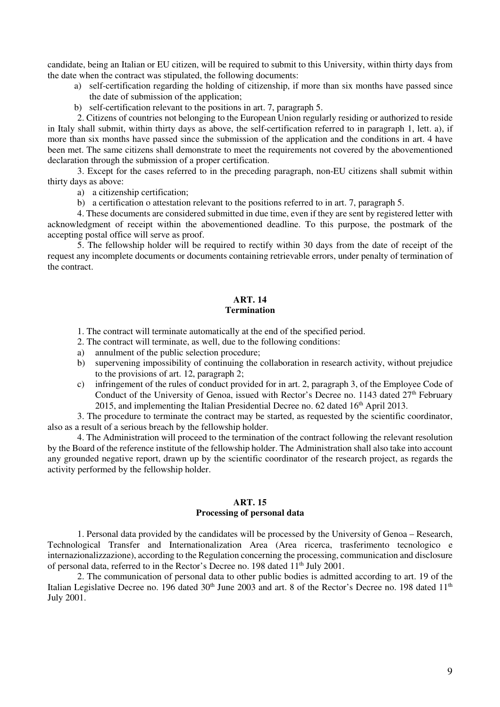candidate, being an Italian or EU citizen, will be required to submit to this University, within thirty days from the date when the contract was stipulated, the following documents:

- a) self-certification regarding the holding of citizenship, if more than six months have passed since the date of submission of the application;
- b) self-certification relevant to the positions in art. 7, paragraph 5.

2. Citizens of countries not belonging to the European Union regularly residing or authorized to reside in Italy shall submit, within thirty days as above, the self-certification referred to in paragraph 1, lett. a), if more than six months have passed since the submission of the application and the conditions in art. 4 have been met. The same citizens shall demonstrate to meet the requirements not covered by the abovementioned declaration through the submission of a proper certification.

3. Except for the cases referred to in the preceding paragraph, non-EU citizens shall submit within thirty days as above:

a) a citizenship certification;

b) a certification o attestation relevant to the positions referred to in art. 7, paragraph 5.

4. These documents are considered submitted in due time, even if they are sent by registered letter with acknowledgment of receipt within the abovementioned deadline. To this purpose, the postmark of the accepting postal office will serve as proof.

 5. The fellowship holder will be required to rectify within 30 days from the date of receipt of the request any incomplete documents or documents containing retrievable errors, under penalty of termination of the contract.

# **ART. 14 Termination**

- 1. The contract will terminate automatically at the end of the specified period.
- 2. The contract will terminate, as well, due to the following conditions:
- a) annulment of the public selection procedure;
- b) supervening impossibility of continuing the collaboration in research activity, without prejudice to the provisions of art. 12, paragraph 2;
- c) infringement of the rules of conduct provided for in art. 2, paragraph 3, of the Employee Code of Conduct of the University of Genoa, issued with Rector's Decree no. 1143 dated 27<sup>th</sup> February 2015, and implementing the Italian Presidential Decree no.  $62$  dated  $16<sup>th</sup>$  April 2013.

3. The procedure to terminate the contract may be started, as requested by the scientific coordinator, also as a result of a serious breach by the fellowship holder.

4. The Administration will proceed to the termination of the contract following the relevant resolution by the Board of the reference institute of the fellowship holder. The Administration shall also take into account any grounded negative report, drawn up by the scientific coordinator of the research project, as regards the activity performed by the fellowship holder.

# **ART. 15 Processing of personal data**

1. Personal data provided by the candidates will be processed by the University of Genoa – Research, Technological Transfer and Internationalization Area (Area ricerca, trasferimento tecnologico e internazionalizzazione), according to the Regulation concerning the processing, communication and disclosure of personal data, referred to in the Rector's Decree no. 198 dated 11<sup>th</sup> July 2001.

2. The communication of personal data to other public bodies is admitted according to art. 19 of the Italian Legislative Decree no. 196 dated 30<sup>th</sup> June 2003 and art. 8 of the Rector's Decree no. 198 dated 11<sup>th</sup> July 2001.